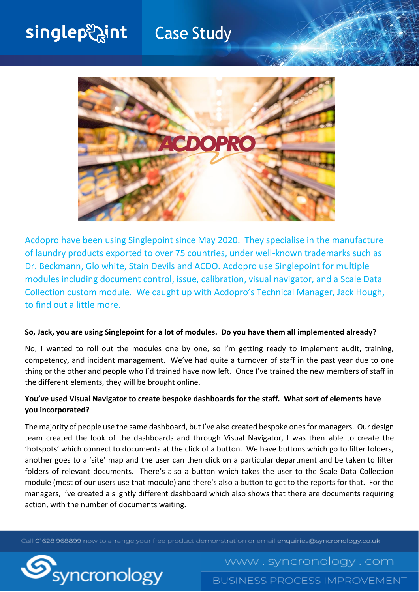# singlepeaint **Case Study**



Acdopro have been using Singlepoint since May 2020. They specialise in the manufacture of laundry products exported to over 75 countries, under well-known trademarks such as Dr. Beckmann, Glo white, Stain Devils and ACDO. Acdopro use Singlepoint for multiple modules including document control, issue, calibration, visual navigator, and a Scale Data Collection custom module. We caught up with Acdopro's Technical Manager, Jack Hough, to find out a little more.

#### **So, Jack, you are using Singlepoint for a lot of modules. Do you have them all implemented already?**

No, I wanted to roll out the modules one by one, so I'm getting ready to implement audit, training, competency, and incident management. We've had quite a turnover of staff in the past year due to one thing or the other and people who I'd trained have now left. Once I've trained the new members of staff in the different elements, they will be brought online.

## **You've used Visual Navigator to create bespoke dashboards for the staff. What sort of elements have you incorporated?**

The majority of people use the same dashboard, but I've also created bespoke ones for managers. Our design team created the look of the dashboards and through Visual Navigator, I was then able to create the 'hotspots' which connect to documents at the click of a button. We have buttons which go to filter folders, another goes to a 'site' map and the user can then click on a particular department and be taken to filter folders of relevant documents. There's also a button which takes the user to the Scale Data Collection module (most of our users use that module) and there's also a button to get to the reports for that. For the managers, I've created a slightly different dashboard which also shows that there are documents requiring action, with the number of documents waiting.

Call 01628 968899 now to arrange your free product demonstration or email enquiries@syncronology.co.uk



**BUSINESS PROCESS IMPROVEMENT** 

www.syncronology.com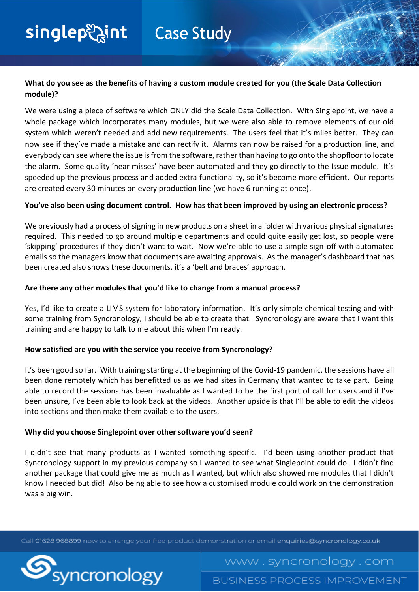## **What do you see as the benefits of having a custom module created for you (the Scale Data Collection module)?**

We were using a piece of software which ONLY did the Scale Data Collection. With Singlepoint, we have a whole package which incorporates many modules, but we were also able to remove elements of our old system which weren't needed and add new requirements. The users feel that it's miles better. They can now see if they've made a mistake and can rectify it. Alarms can now be raised for a production line, and everybody can see where the issue is from the software, rather than having to go onto the shopfloor to locate the alarm. Some quality 'near misses' have been automated and they go directly to the Issue module. It's speeded up the previous process and added extra functionality, so it's become more efficient. Our reports are created every 30 minutes on every production line (we have 6 running at once).

## **You've also been using document control. How has that been improved by using an electronic process?**

We previously had a process of signing in new products on a sheet in a folder with various physical signatures required. This needed to go around multiple departments and could quite easily get lost, so people were 'skipping' procedures if they didn't want to wait. Now we're able to use a simple sign-off with automated emails so the managers know that documents are awaiting approvals. As the manager's dashboard that has been created also shows these documents, it's a 'belt and braces' approach.

## **Are there any other modules that you'd like to change from a manual process?**

Yes, I'd like to create a LIMS system for laboratory information. It's only simple chemical testing and with some training from Syncronology, I should be able to create that. Syncronology are aware that I want this training and are happy to talk to me about this when I'm ready.

## **How satisfied are you with the service you receive from Syncronology?**

It's been good so far. With training starting at the beginning of the Covid-19 pandemic, the sessions have all been done remotely which has benefitted us as we had sites in Germany that wanted to take part. Being able to record the sessions has been invaluable as I wanted to be the first port of call for users and if I've been unsure, I've been able to look back at the videos. Another upside is that I'll be able to edit the videos into sections and then make them available to the users.

## **Why did you choose Singlepoint over other software you'd seen?**

I didn't see that many products as I wanted something specific. I'd been using another product that Syncronology support in my previous company so I wanted to see what Singlepoint could do. I didn't find another package that could give me as much as I wanted, but which also showed me modules that I didn't know I needed but did! Also being able to see how a customised module could work on the demonstration was a big win.

Call 01628 968899 now to arrange your free product demonstration or email enquiries@syncronology.co.uk



www.syncronology.com **BUSINESS PROCESS IMPROVEMENT**